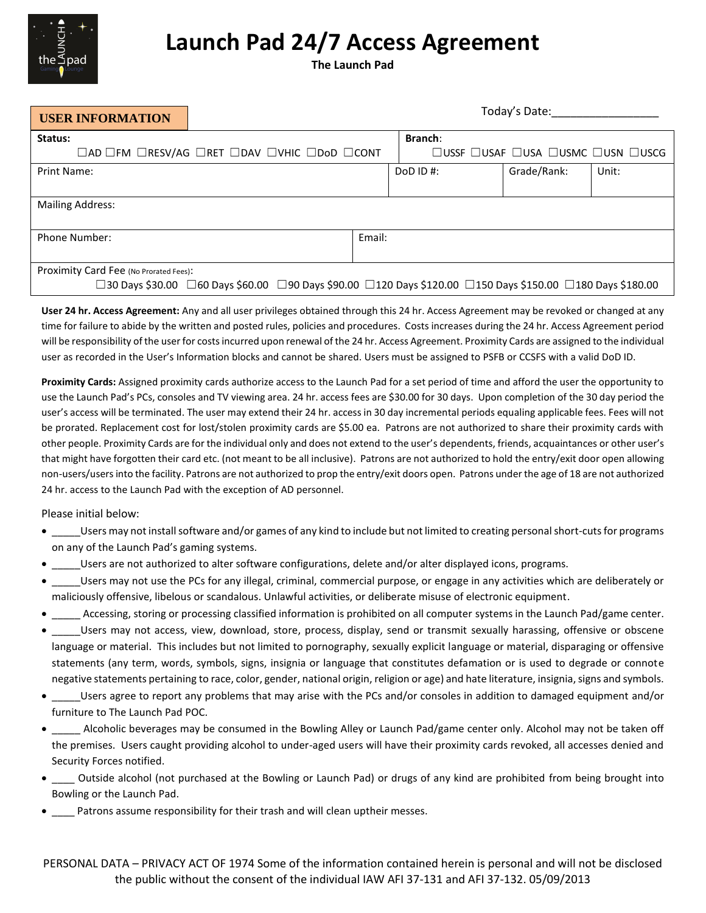

## **Launch Pad 24/7 Access Agreement**

**The Launch Pad**

| <b>USER INFORMATION</b>                                                                                                                              | Today's Date: |  |                                   |             |       |
|------------------------------------------------------------------------------------------------------------------------------------------------------|---------------|--|-----------------------------------|-------------|-------|
| Status:                                                                                                                                              |               |  | <b>Branch:</b>                    |             |       |
| $\Box$ AD $\Box$ FM $\Box$ RESV/AG $\Box$ RET $\Box$ DAV $\Box$ VHIC $\Box$ DoD $\Box$ CONT                                                          |               |  | □USSF □USAF □USA □USMC □USN □USCG |             |       |
| Print Name:                                                                                                                                          |               |  | DoD ID #:                         | Grade/Rank: | Unit: |
|                                                                                                                                                      |               |  |                                   |             |       |
| <b>Mailing Address:</b>                                                                                                                              |               |  |                                   |             |       |
|                                                                                                                                                      |               |  |                                   |             |       |
| Phone Number:                                                                                                                                        | Email:        |  |                                   |             |       |
|                                                                                                                                                      |               |  |                                   |             |       |
| Proximity Card Fee (No Prorated Fees):                                                                                                               |               |  |                                   |             |       |
| $\Box$ 30 Days \$30.00 $~\Box$ 60 Days \$60.00 $~\Box$ 90 Days \$90.00 $~\Box$ 120 Days \$120.00 $~\Box$ 150 Days \$150.00 $~\Box$ 180 Days \$180.00 |               |  |                                   |             |       |

**User 24 hr. Access Agreement:** Any and all user privileges obtained through this 24 hr. Access Agreement may be revoked or changed at any time for failure to abide by the written and posted rules, policies and procedures. Costs increases during the 24 hr. Access Agreement period will be responsibility of the user for costs incurred upon renewal of the 24 hr. Access Agreement. Proximity Cards are assigned to the individual user as recorded in the User's Information blocks and cannot be shared. Users must be assigned to PSFB or CCSFS with a valid DoD ID.

**Proximity Cards:** Assigned proximity cards authorize access to the Launch Pad for a set period of time and afford the user the opportunity to use the Launch Pad's PCs, consoles and TV viewing area. 24 hr. access fees are \$30.00 for 30 days. Upon completion of the 30 day period the user's access will be terminated. The user may extend their 24 hr. access in 30 day incremental periods equaling applicable fees. Fees will not be prorated. Replacement cost for lost/stolen proximity cards are \$5.00 ea. Patrons are not authorized to share their proximity cards with other people. Proximity Cards are for the individual only and does not extend to the user's dependents, friends, acquaintances or other user's that might have forgotten their card etc. (not meant to be all inclusive). Patrons are not authorized to hold the entry/exit door open allowing non-users/usersinto the facility. Patrons are not authorized to prop the entry/exit doors open. Patrons under the age of 18 are not authorized 24 hr. access to the Launch Pad with the exception of AD personnel.

Please initial below:

- Users may not install software and/or games of any kind to include but not limited to creating personal short-cuts for programs on any of the Launch Pad's gaming systems.
- \_\_\_\_\_Users are not authorized to alter software configurations, delete and/or alter displayed icons, programs.
- \_\_\_\_\_Users may not use the PCs for any illegal, criminal, commercial purpose, or engage in any activities which are deliberately or maliciously offensive, libelous or scandalous. Unlawful activities, or deliberate misuse of electronic equipment.
- \_\_\_\_\_ Accessing, storing or processing classified information is prohibited on all computer systems in the Launch Pad/game center.
- \_\_\_\_\_Users may not access, view, download, store, process, display, send or transmit sexually harassing, offensive or obscene language or material. This includes but not limited to pornography, sexually explicit language or material, disparaging or offensive statements (any term, words, symbols, signs, insignia or language that constitutes defamation or is used to degrade or connote negative statements pertaining to race, color, gender, national origin, religion or age) and hate literature, insignia, signs and symbols.
- \_\_\_\_\_Users agree to report any problems that may arise with the PCs and/or consoles in addition to damaged equipment and/or furniture to The Launch Pad POC.
- \_\_\_\_\_ Alcoholic beverages may be consumed in the Bowling Alley or Launch Pad/game center only. Alcohol may not be taken off the premises. Users caught providing alcohol to under-aged users will have their proximity cards revoked, all accesses denied and Security Forces notified.
- \_\_\_\_ Outside alcohol (not purchased at the Bowling or Launch Pad) or drugs of any kind are prohibited from being brought into Bowling or the Launch Pad.
- \_\_\_\_ Patrons assume responsibility for their trash and will clean uptheir messes.